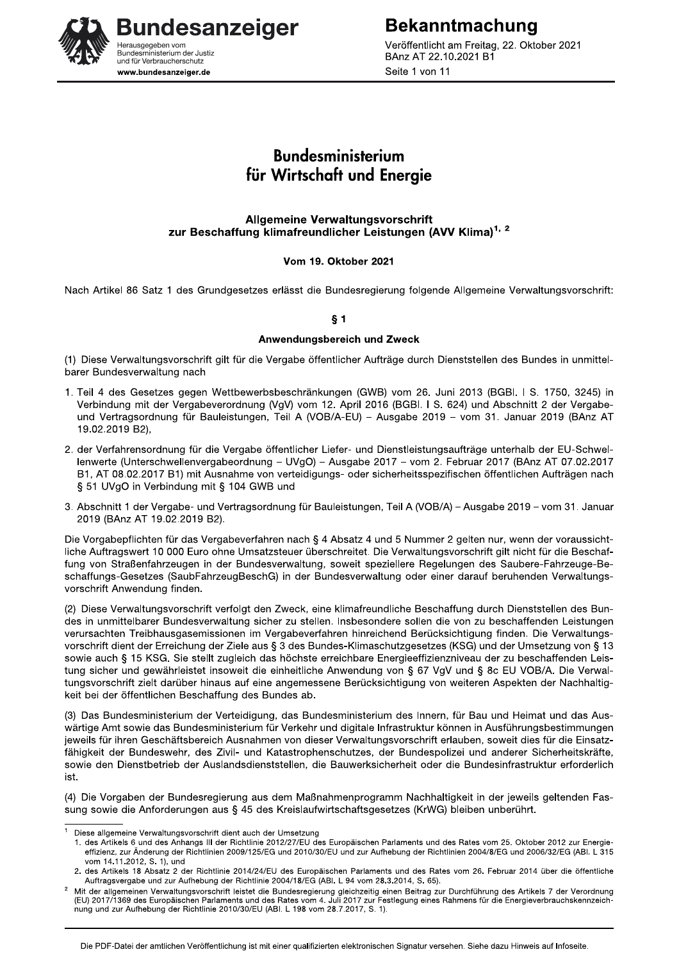**Bekanntmachung** Veröffentlicht am Freitag, 22. Oktober 2021 BAnz AT 22.10.2021 B1 Seite 1 von 11

# **Bundesanzeiger** erausgegeben vom Sundesministerium der Justiz<br>Bundesministerium der Justiz<br>und für Verbraucherschutz www.bundesanzeiger.de

# **Bundesministerium** für Wirtschaft und Energie

#### **Allgemeine Verwaltungsvorschrift** zur Beschaffung klimafreundlicher Leistungen (AVV Klima)<sup>1, 2</sup>

#### Vom 19. Oktober 2021

Nach Artikel 86 Satz 1 des Grundgesetzes erlässt die Bundesregierung folgende Allgemeine Verwaltungsvorschrift:

### $§ 1$

#### Anwendungsbereich und Zweck

(1) Diese Verwaltungsvorschrift gilt für die Vergabe öffentlicher Aufträge durch Dienststellen des Bundes in unmittelbarer Bundesverwaltung nach

- 1. Teil 4 des Gesetzes gegen Wettbewerbsbeschränkungen (GWB) vom 26. Juni 2013 (BGBI. I S. 1750, 3245) in Verbindung mit der Vergabeverordnung (VgV) vom 12. April 2016 (BGBI. I S. 624) und Abschnitt 2 der Vergabeund Vertragsordnung für Bauleistungen, Teil A (VOB/A-EU) - Ausgabe 2019 - vom 31. Januar 2019 (BAnz AT 19.02.2019 B2),
- 2. der Verfahrensordnung für die Vergabe öffentlicher Liefer- und Dienstleistungsaufträge unterhalb der EU-Schwellenwerte (Unterschwellenvergabeordnung - UVgO) - Ausgabe 2017 - vom 2. Februar 2017 (BAnz AT 07.02.2017 B1, AT 08.02.2017 B1) mit Ausnahme von verteidigungs- oder sicherheitsspezifischen öffentlichen Aufträgen nach § 51 UVgO in Verbindung mit § 104 GWB und
- 3. Abschnitt 1 der Vergabe- und Vertragsordnung für Bauleistungen, Teil A (VOB/A) Ausgabe 2019 vom 31. Januar 2019 (BAnz AT 19.02.2019 B2).

Die Vorgabepflichten für das Vergabeverfahren nach § 4 Absatz 4 und 5 Nummer 2 gelten nur, wenn der voraussichtliche Auftragswert 10 000 Euro ohne Umsatzsteuer überschreitet. Die Verwaltungsvorschrift gilt nicht für die Beschaffung von Straßenfahrzeugen in der Bundesverwaltung, soweit speziellere Regelungen des Saubere-Fahrzeuge-Beschaffungs-Gesetzes (SaubFahrzeugBeschG) in der Bundesverwaltung oder einer darauf beruhenden Verwaltungsvorschrift Anwendung finden.

(2) Diese Verwaltungsvorschrift verfolgt den Zweck, eine klimafreundliche Beschaffung durch Dienststellen des Bundes in unmittelbarer Bundesverwaltung sicher zu stellen. Insbesondere sollen die von zu beschaffenden Leistungen verursachten Treibhausgasemissionen im Vergabeverfahren hinreichend Berücksichtigung finden. Die Verwaltungsvorschrift dient der Erreichung der Ziele aus § 3 des Bundes-Klimaschutzgesetzes (KSG) und der Umsetzung von § 13 sowie auch § 15 KSG. Sie stellt zugleich das höchste erreichbare Energieeffizienzniveau der zu beschaffenden Leistung sicher und gewährleistet insoweit die einheitliche Anwendung von § 67 VgV und § 8c EU VOB/A. Die Verwaltungsvorschrift zielt darüber hinaus auf eine angemessene Berücksichtigung von weiteren Aspekten der Nachhaltigkeit bei der öffentlichen Beschaffung des Bundes ab.

(3) Das Bundesministerium der Verteidigung, das Bundesministerium des Innern, für Bau und Heimat und das Auswärtige Amt sowie das Bundesministerium für Verkehr und digitale Infrastruktur können in Ausführungsbestimmungen jeweils für ihren Geschäftsbereich Ausnahmen von dieser Verwaltungsvorschrift erlauben, soweit dies für die Einsatzfähigkeit der Bundeswehr, des Zivil- und Katastrophenschutzes, der Bundespolizei und anderer Sicherheitskräfte, sowie den Dienstbetrieb der Auslandsdienststellen, die Bauwerksicherheit oder die Bundesinfrastruktur erforderlich ist

(4) Die Vorgaben der Bundesregierung aus dem Maßnahmenprogramm Nachhaltigkeit in der jeweils geltenden Fassung sowie die Anforderungen aus § 45 des Kreislaufwirtschaftsgesetzes (KrWG) bleiben unberührt.

Diese allgemeine Verwaltungsvorschrift dient auch der Umsetzung

<sup>1.</sup> des Artikels 6 und des Anhangs III der Richtlinie 2012/27/EU des Europäischen Parlaments und des Rates vom 25. Oktober 2012 zur Energieeffizienz, zur Änderung der Richtlinien 2009/125/EG und 2010/30/EU und zur Aufhebung der Richtlinien 2004/8/EG und 2006/32/EG (ABI. L 315 vom 14.11.2012, S. 1), und

<sup>2.</sup> des Artikels 18 Absatz 2 der Richtlinie 2014/24/EU des Europäischen Parlaments und des Rates vom 26. Februar 2014 über die öffentliche Auftragsvergabe und zur Aufhebung der Richtlinie 2004/18/EG (ABI. L 94 vom 28.3.2014, S. 65).

Mit der allgemeinen Verwaltungsvorschrift leistet die Bundesregierung gleichzeitig einen Beitrag zur Durchführung des Artikels 7 der Verordnung<br>(EU) 2017/1369 des Europäischen Parlaments und des Rates vom 4. Juli 2017 zur nung und zur Aufhebung der Richtlinie 2010/30/EU (ABI. L 198 vom 28.7.2017, S. 1).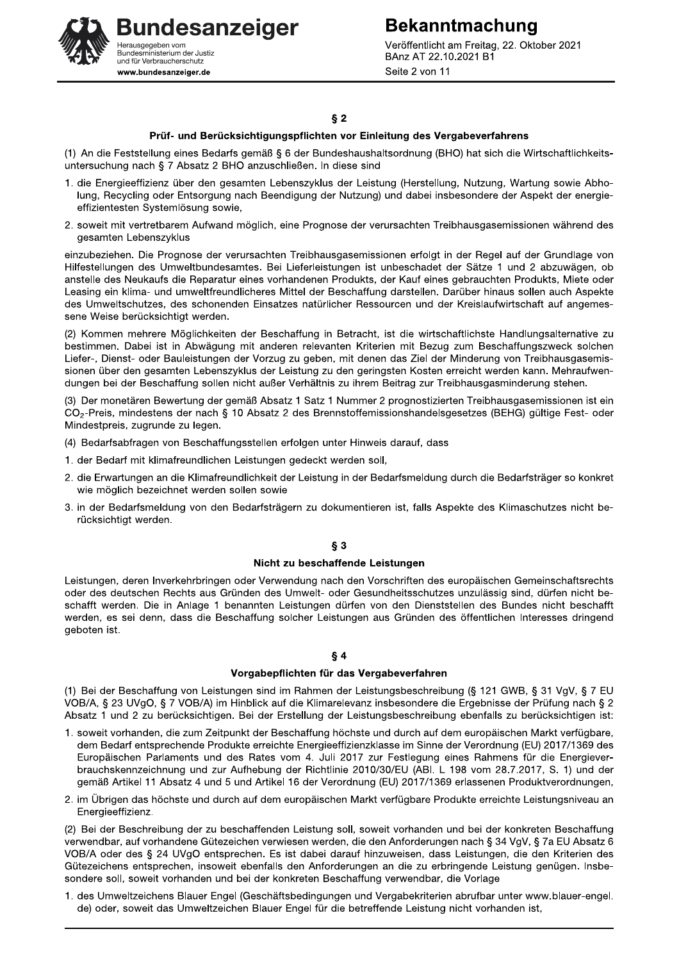**Bekanntmachung** Veröffentlicht am Freitag, 22. Oktober 2021 BAnz AT 22.10.2021 B1 Seite 2 von 11

**Bundesanzeiger** lerausgegeben vom Sundesministerium der Justiz<br>Bundesministerium der Justiz<br>und für Verbraucherschutz www.bundesanzeiger.de

#### $§$  2

#### Prüf- und Berücksichtigungspflichten vor Einleitung des Vergabeverfahrens

(1) An die Feststellung eines Bedarfs gemäß § 6 der Bundeshaushaltsordnung (BHO) hat sich die Wirtschaftlichkeitsuntersuchung nach § 7 Absatz 2 BHO anzuschließen. In diese sind

- 1. die Energieeffizienz über den gesamten Lebenszyklus der Leistung (Herstellung, Nutzung, Wartung sowie Abholung. Recycling oder Entsorgung nach Beendigung der Nutzung) und dabei insbesondere der Aspekt der energieeffizientesten Systemlösung sowie,
- 2. soweit mit vertretbarem Aufwand möglich, eine Prognose der verursachten Treibhausgasemissionen während des gesamten Lebenszyklus

einzubeziehen. Die Prognose der verursachten Treibhausgasemissionen erfolgt in der Regel auf der Grundlage von Hilfestellungen des Umweltbundesamtes. Bei Lieferleistungen ist unbeschadet der Sätze 1 und 2 abzuwägen, ob anstelle des Neukaufs die Reparatur eines vorhandenen Produkts, der Kauf eines gebrauchten Produkts, Miete oder Leasing ein klima- und umweltfreundlicheres Mittel der Beschaffung darstellen. Darüber hinaus sollen auch Aspekte des Umweltschutzes, des schonenden Einsatzes natürlicher Ressourcen und der Kreislaufwirtschaft auf angemessene Weise berücksichtigt werden.

(2) Kommen mehrere Möglichkeiten der Beschaffung in Betracht, ist die wirtschaftlichste Handlungsalternative zu bestimmen. Dabei ist in Abwägung mit anderen relevanten Kriterien mit Bezug zum Beschaffungszweck solchen Liefer-, Dienst- oder Bauleistungen der Vorzug zu geben, mit denen das Ziel der Minderung von Treibhausgasemissionen über den gesamten Lebenszyklus der Leistung zu den geringsten Kosten erreicht werden kann. Mehraufwendungen bei der Beschaffung sollen nicht außer Verhältnis zu ihrem Beitrag zur Treibhausgasminderung stehen.

(3) Der monetären Bewertung der gemäß Absatz 1 Satz 1 Nummer 2 prognostizierten Treibhausgasemissionen ist ein CO<sub>2</sub>-Preis, mindestens der nach § 10 Absatz 2 des Brennstoffemissionshandelsgesetzes (BEHG) gültige Fest- oder Mindestpreis, zugrunde zu legen.

- (4) Bedarfsabfragen von Beschaffungsstellen erfolgen unter Hinweis darauf, dass
- 1. der Bedarf mit klimafreundlichen Leistungen gedeckt werden soll,
- 2. die Erwartungen an die Klimafreundlichkeit der Leistung in der Bedarfsmeldung durch die Bedarfsträger so konkret wie möglich bezeichnet werden sollen sowie
- 3. in der Bedarfsmeldung von den Bedarfsträgern zu dokumentieren ist, falls Aspekte des Klimaschutzes nicht berücksichtigt werden.

#### $\delta$  3

#### Nicht zu beschaffende Leistungen

Leistungen, deren Inverkehrbringen oder Verwendung nach den Vorschriften des europäischen Gemeinschaftsrechts oder des deutschen Rechts aus Gründen des Umwelt- oder Gesundheitsschutzes unzulässig sind, dürfen nicht beschafft werden. Die in Anlage 1 benannten Leistungen dürfen von den Dienststellen des Bundes nicht beschafft werden, es sei denn, dass die Beschaffung solcher Leistungen aus Gründen des öffentlichen Interesses dringend geboten ist.

#### $§ 4$

#### Vorgabepflichten für das Vergabeverfahren

(1) Bei der Beschaffung von Leistungen sind im Rahmen der Leistungsbeschreibung (§ 121 GWB, § 31 VgV, § 7 EU VOB/A, § 23 UVgO, § 7 VOB/A) im Hinblick auf die Klimarelevanz insbesondere die Ergebnisse der Prüfung nach § 2 Absatz 1 und 2 zu berücksichtigen. Bei der Erstellung der Leistungsbeschreibung ebenfalls zu berücksichtigen ist:

- 1. soweit vorhanden, die zum Zeitpunkt der Beschaffung höchste und durch auf dem europäischen Markt verfügbare, dem Bedarf entsprechende Produkte erreichte Energieeffizienzklasse im Sinne der Verordnung (EU) 2017/1369 des Europäischen Parlaments und des Rates vom 4. Juli 2017 zur Festlegung eines Rahmens für die Energieverbrauchskennzeichnung und zur Aufhebung der Richtlinie 2010/30/EU (ABI, L 198 vom 28.7.2017, S. 1) und der gemäß Artikel 11 Absatz 4 und 5 und Artikel 16 der Verordnung (EU) 2017/1369 erlassenen Produktverordnungen,
- 2. im Übrigen das höchste und durch auf dem europäischen Markt verfügbare Produkte erreichte Leistungsniveau an Energieeffizienz.

(2) Bei der Beschreibung der zu beschaffenden Leistung soll, soweit vorhanden und bei der konkreten Beschaffung verwendbar, auf vorhandene Gütezeichen verwiesen werden, die den Anforderungen nach § 34 VgV, § 7a EU Absatz 6 VOB/A oder des § 24 UVgO entsprechen. Es ist dabei darauf hinzuweisen, dass Leistungen, die den Kriterien des Gütezeichens entsprechen, insoweit ebenfalls den Anforderungen an die zu erbringende Leistung genügen. Insbesondere soll, soweit vorhanden und bei der konkreten Beschaffung verwendbar, die Vorlage

1. des Umweltzeichens Blauer Engel (Geschäftsbedingungen und Vergabekriterien abrufbar unter www.blauer-engel. de) oder, soweit das Umweltzeichen Blauer Engel für die betreffende Leistung nicht vorhanden ist,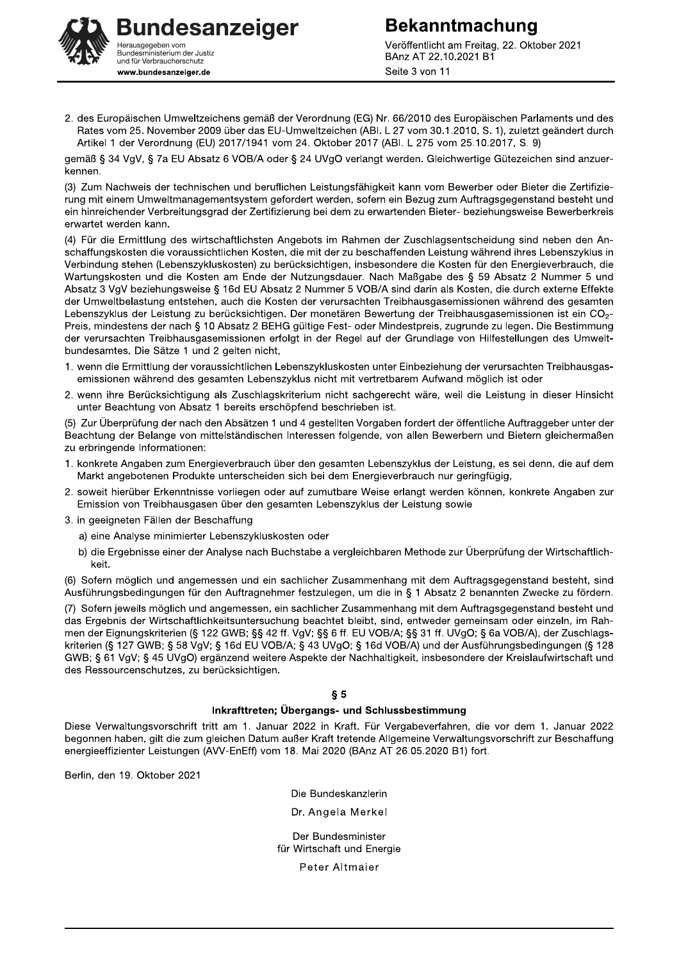

Veröffentlicht am Freitag, 22. Oktober 2021 BAnz AT 22.10.2021 B1 Seite 3 von 11

2. des Europäischen Umweltzeichens gemäß der Verordnung (EG) Nr. 66/2010 des Europäischen Parlaments und des Rates vom 25. November 2009 über das EU-Umweltzeichen (ABI. L 27 vom 30.1.2010, S. 1), zuletzt geändert durch Artikel 1 der Verordnung (EU) 2017/1941 vom 24. Oktober 2017 (ABI. L 275 vom 25.10.2017, S. 9)

gemäß § 34 VgV, § 7a EU Absatz 6 VOB/A oder § 24 UVgO verlangt werden. Gleichwertige Gütezeichen sind anzuerkennen

(3) Zum Nachweis der technischen und beruflichen Leistungsfähigkeit kann vom Bewerber oder Bieter die Zertifizierung mit einem Umweltmanagementsystem gefordert werden, sofern ein Bezug zum Auftragsgegenstand besteht und ein hinreichender Verbreitungsgrad der Zertifizierung bei dem zu erwartenden Bieter- beziehungsweise Bewerberkreis erwartet werden kann.

(4) Für die Ermittlung des wirtschaftlichsten Angebots im Rahmen der Zuschlagsentscheidung sind neben den Anschaffungskosten die voraussichtlichen Kosten, die mit der zu beschaffenden Leistung während ihres Lebenszyklus in Verbindung stehen (Lebenszykluskosten) zu berücksichtigen, insbesondere die Kosten für den Energieverbrauch, die Wartungskosten und die Kosten am Ende der Nutzungsdauer. Nach Maßgabe des § 59 Absatz 2 Nummer 5 und Absatz 3 VqV beziehungsweise § 16d EU Absatz 2 Nummer 5 VOB/A sind darin als Kosten, die durch externe Effekte der Umweltbelastung entstehen, auch die Kosten der verursachten Treibhausgasemissionen während des gesamten Lebenszyklus der Leistung zu berücksichtigen. Der monetären Bewertung der Treibhausgasemissionen ist ein CO<sub>2</sub>-Preis, mindestens der nach § 10 Absatz 2 BEHG gültige Fest- oder Mindestpreis, zugrunde zu legen. Die Bestimmung der verursachten Treibhausgasemissionen erfolgt in der Regel auf der Grundlage von Hilfestellungen des Umweltbundesamtes. Die Sätze 1 und 2 gelten nicht,

- 1. wenn die Ermittlung der voraussichtlichen Lebenszykluskosten unter Einbeziehung der verursachten Treibhausgasemissionen während des gesamten Lebenszyklus nicht mit vertretbarem Aufwand möglich ist oder
- 2. wenn ihre Berücksichtigung als Zuschlagskriterium nicht sachgerecht wäre, weil die Leistung in dieser Hinsicht unter Beachtung von Absatz 1 bereits erschöpfend beschrieben ist.

(5) Zur Überprüfung der nach den Absätzen 1 und 4 gestellten Vorgaben fordert der öffentliche Auftraggeber unter der Beachtung der Belange von mittelständischen Interessen folgende, von allen Bewerbern und Bietern gleichermaßen zu erbringende Informationen:

- 1. konkrete Angaben zum Energieverbrauch über den gesamten Lebenszyklus der Leistung, es sei denn, die auf dem Markt angebotenen Produkte unterscheiden sich bei dem Energieverbrauch nur geringfügig,
- 2. soweit hierüber Erkenntnisse vorliegen oder auf zumutbare Weise erlangt werden können, konkrete Angaben zur Emission von Treibhausgasen über den gesamten Lebenszyklus der Leistung sowie
- 3. in geeigneten Fällen der Beschaffung
	- a) eine Analyse minimierter Lebenszykluskosten oder
	- b) die Ergebnisse einer der Analyse nach Buchstabe a vergleichbaren Methode zur Überprüfung der Wirtschaftlichkeit.

(6) Sofern möglich und angemessen und ein sachlicher Zusammenhang mit dem Auftragsgegenstand besteht, sind Ausführungsbedingungen für den Auftragnehmer festzulegen, um die in § 1 Absatz 2 benannten Zwecke zu fördern.

(7) Sofern jeweils möglich und angemessen, ein sachlicher Zusammenhang mit dem Auftragsgegenstand besteht und das Ergebnis der Wirtschaftlichkeitsuntersuchung beachtet bleibt, sind, entweder gemeinsam oder einzeln, im Rahmen der Eignungskriterien (§ 122 GWB; §§ 42 ff. VgV; §§ 6 ff. EU VOB/A; §§ 31 ff. UVgO; § 6a VOB/A), der Zuschlagskriterien (§ 127 GWB; § 58 VgV; § 16d EU VOB/A; § 43 UVgO; § 16d VOB/A) und der Ausführungsbedingungen (§ 128 GWB: § 61 VgV: § 45 UVgO) ergänzend weitere Aspekte der Nachhaltigkeit, insbesondere der Kreislaufwirtschaft und des Ressourcenschutzes. zu berücksichtigen.

#### $$5$

#### Inkrafttreten; Übergangs- und Schlussbestimmung

Diese Verwaltungsvorschrift tritt am 1. Januar 2022 in Kraft. Für Vergabeverfahren, die vor dem 1. Januar 2022 begonnen haben, gilt die zum gleichen Datum außer Kraft tretende Allgemeine Verwaltungsvorschrift zur Beschaffung energieeffizienter Leistungen (AVV-EnEff) vom 18. Mai 2020 (BAnz AT 26.05.2020 B1) fort.

Berlin, den 19. Oktober 2021

Die Bundeskanzlerin

Dr. Angela Merkel

Der Bundesminister für Wirtschaft und Energie

Peter Altmaier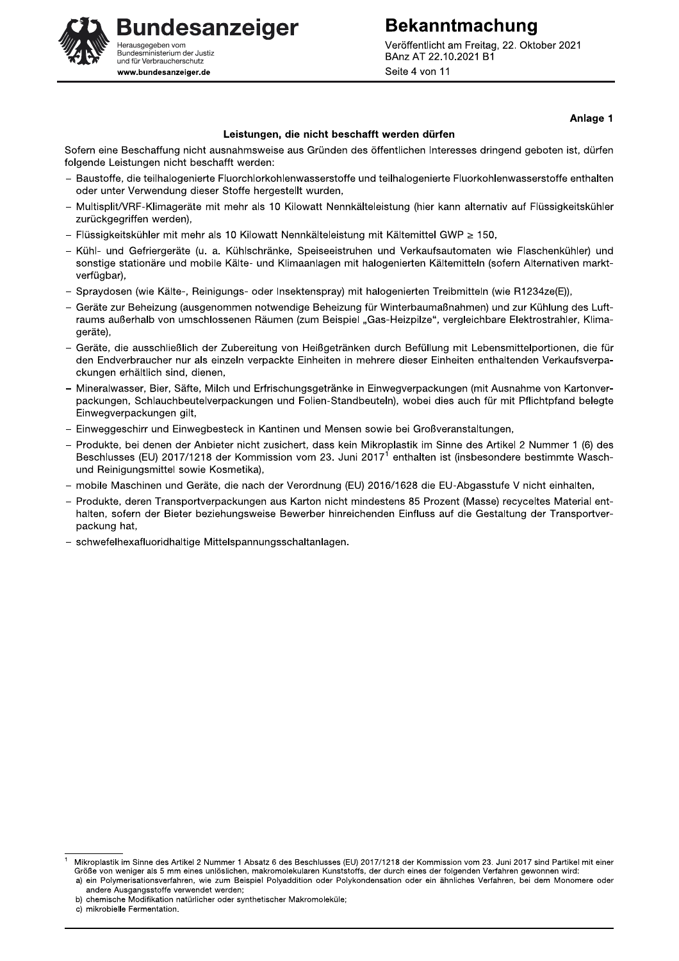Veröffentlicht am Freitag, 22. Oktober 2021 BAnz AT 22.10.2021 B1 Seite 4 von 11

**Bekanntmachung** 

## **Bundesanzeiger** erausgegeben vom Sundesministerium der Justiz<br>Bundesministerium der Justiz<br>und für Verbraucherschutz www.bundesanzeiger.de

#### Anlage 1

#### Leistungen, die nicht beschafft werden dürfen

Sofern eine Beschaffung nicht ausnahmsweise aus Gründen des öffentlichen Interesses dringend geboten ist, dürfen folgende Leistungen nicht beschafft werden:

- Baustoffe, die teilhalogenierte Fluorchlorkohlenwasserstoffe und teilhalogenierte Fluorkohlenwasserstoffe enthalten oder unter Verwendung dieser Stoffe hergestellt wurden,
- Multisplit/VRF-Klimageräte mit mehr als 10 Kilowatt Nennkälteleistung (hier kann alternativ auf Flüssigkeitskühler zurückgegriffen werden),
- Flüssigkeitskühler mit mehr als 10 Kilowatt Nennkälteleistung mit Kältemittel GWP ≥ 150.
- Kühl- und Gefriergeräte (u. a. Kühlschränke, Speiseeistruhen und Verkaufsautomaten wie Flaschenkühler) und sonstige stationäre und mobile Kälte- und Klimaanlagen mit halogenierten Kältemitteln (sofern Alternativen marktverfügbar),
- Spraydosen (wie Kälte-, Reinigungs- oder Insektenspray) mit halogenierten Treibmitteln (wie R1234ze(E)),
- Geräte zur Beheizung (ausgenommen notwendige Beheizung für Winterbaumaßnahmen) und zur Kühlung des Luftraums außerhalb von umschlossenen Räumen (zum Beispiel "Gas-Heizpilze", vergleichbare Elektrostrahler, Klimageräte),
- Geräte, die ausschließlich der Zubereitung von Heißgetränken durch Befüllung mit Lebensmittelportionen, die für den Endverbraucher nur als einzeln verpackte Einheiten in mehrere dieser Einheiten enthaltenden Verkaufsverpackungen erhältlich sind, dienen.
- Mineralwasser, Bier, Säfte, Milch und Erfrischungsgetränke in Einwegverpackungen (mit Ausnahme von Kartonverpackungen. Schlauchbeutelverpackungen und Folien-Standbeuteln), wobei dies auch für mit Pflichtpfand belegte Einwegverpackungen gilt,
- Einweggeschirr und Einwegbesteck in Kantinen und Mensen sowie bei Großveranstaltungen,
- Produkte, bei denen der Anbieter nicht zusichert, dass kein Mikroplastik im Sinne des Artikel 2 Nummer 1 (6) des Beschlusses (EU) 2017/1218 der Kommission vom 23. Juni 2017<sup>1</sup> enthalten ist (insbesondere bestimmte Waschund Reinigungsmittel sowie Kosmetika),
- mobile Maschinen und Geräte, die nach der Verordnung (EU) 2016/1628 die EU-Abgasstufe V nicht einhalten,
- Produkte, deren Transportverpackungen aus Karton nicht mindestens 85 Prozent (Masse) recyceltes Material enthalten, sofern der Bieter beziehungsweise Bewerber hinreichenden Einfluss auf die Gestaltung der Transportverpackung hat,
- schwefelhexafluoridhaltige Mittelspannungsschaltanlagen.

Mikroplastik im Sinne des Artikel 2 Nummer 1 Absatz 6 des Beschlusses (EU) 2017/1218 der Kommission vom 23. Juni 2017 sind Partikel mit einer Größe von weniger als 5 mm eines unlöslichen, makromolekularen Kunststoffs, der durch eines der folgenden Verfahren gewonnen wird: a) ein Polymerisationsverfahren, wie zum Beispiel Polyaddition oder Polykondensation oder ein ähnliches Verfahren, bei dem Monomere oder andere Ausgangsstoffe verwendet werden;

b) chemische Modifikation natürlicher oder synthetischer Makromoleküle;

c) mikrobielle Fermentation.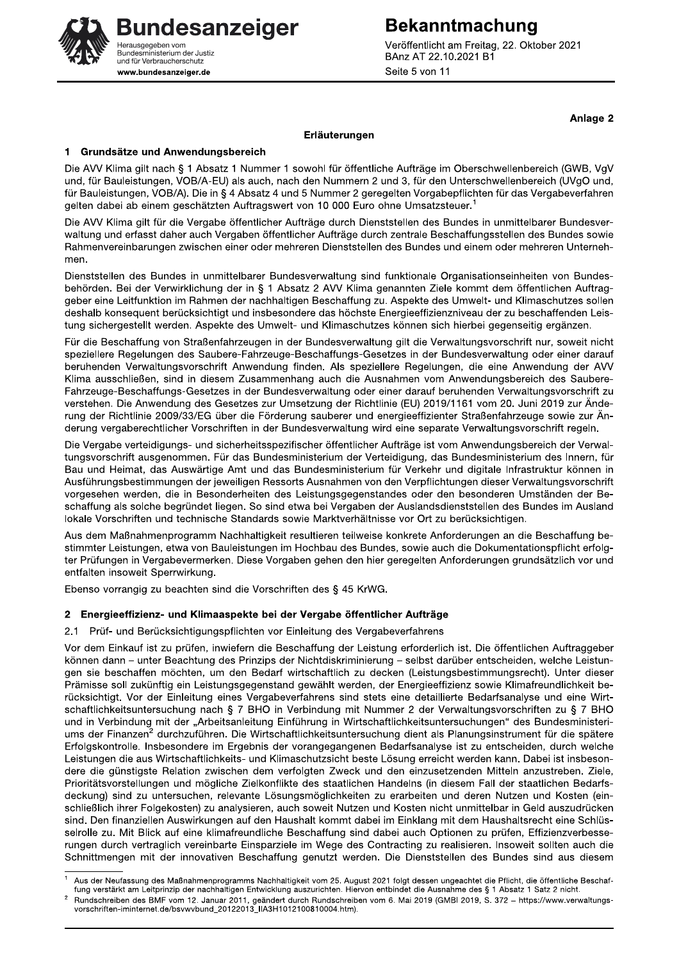Veröffentlicht am Freitag, 22. Oktober 2021 BAnz AT 22.10.2021 B1 Seite 5 von 11

**Bekanntmachung** 

Anlage 2

#### Erläuterungen

#### Grundsätze und Anwendungsbereich 1.

Die AVV Klima gilt nach § 1 Absatz 1 Nummer 1 sowohl für öffentliche Aufträge im Oberschwellenbereich (GWB, VgV und, für Bauleistungen, VOB/A-EU) als auch, nach den Nummern 2 und 3, für den Unterschwellenbereich (UVgO und, für Bauleistungen, VOB/A). Die in § 4 Absatz 4 und 5 Nummer 2 geregelten Vorgabepflichten für das Vergabeverfahren gelten dabei ab einem geschätzten Auftragswert von 10 000 Euro ohne Umsatzsteuer.<sup>1</sup>

Die AVV Klima gilt für die Vergabe öffentlicher Aufträge durch Dienststellen des Bundes in unmittelbarer Bundesverwaltung und erfasst daher auch Vergaben öffentlicher Aufträge durch zentrale Beschaffungsstellen des Bundes sowie Rahmenvereinbarungen zwischen einer oder mehreren Dienststellen des Bundes und einem oder mehreren Unternehmen

Dienststellen des Bundes in unmittelbarer Bundesverwaltung sind funktionale Organisationseinheiten von Bundesbehörden. Bei der Verwirklichung der in § 1 Absatz 2 AVV Klima genannten Ziele kommt dem öffentlichen Auftraggeber eine Leitfunktion im Rahmen der nachhaltigen Beschaffung zu. Aspekte des Umwelt- und Klimaschutzes sollen deshalb konsequent berücksichtigt und insbesondere das höchste Energieeffizienzniveau der zu beschaffenden Leistung sichergestellt werden. Aspekte des Umwelt- und Klimaschutzes können sich hierbei gegenseitig ergänzen.

Für die Beschaffung von Straßenfahrzeugen in der Bundesverwaltung gilt die Verwaltungsvorschrift nur, soweit nicht speziellere Regelungen des Saubere-Fahrzeuge-Beschaffungs-Gesetzes in der Bundesverwaltung oder einer darauf beruhenden Verwaltungsvorschrift Anwendung finden. Als speziellere Regelungen, die eine Anwendung der AVV Klima ausschließen, sind in diesem Zusammenhang auch die Ausnahmen vom Anwendungsbereich des Saubere-Fahrzeuge-Beschaffungs-Gesetzes in der Bundesverwaltung oder einer darauf beruhenden Verwaltungsvorschrift zu verstehen. Die Anwendung des Gesetzes zur Umsetzung der Richtlinie (EU) 2019/1161 vom 20. Juni 2019 zur Änderung der Richtlinie 2009/33/EG über die Förderung sauberer und energieeffizienter Straßenfahrzeuge sowie zur Änderung vergaberechtlicher Vorschriften in der Bundesverwaltung wird eine separate Verwaltungsvorschrift regeln.

Die Vergabe verteidigungs- und sicherheitsspezifischer öffentlicher Aufträge ist vom Anwendungsbereich der Verwaltungsvorschrift ausgenommen. Für das Bundesministerium der Verteidigung, das Bundesministerium des Innern, für Bau und Heimat, das Auswärtige Amt und das Bundesministerium für Verkehr und digitale Infrastruktur können in Ausführungsbestimmungen der jeweiligen Ressorts Ausnahmen von den Verpflichtungen dieser Verwaltungsvorschrift vorgesehen werden, die in Besonderheiten des Leistungsgegenstandes oder den besonderen Umständen der Beschaffung als solche begründet liegen. So sind etwa bei Vergaben der Auslandsdienststellen des Bundes im Ausland lokale Vorschriften und technische Standards sowie Marktverhältnisse vor Ort zu berücksichtigen.

Aus dem Maßnahmenprogramm Nachhaltigkeit resultieren teilweise konkrete Anforderungen an die Beschaffung bestimmter Leistungen, etwa von Bauleistungen im Hochbau des Bundes, sowie auch die Dokumentationspflicht erfolgter Prüfungen in Vergabevermerken. Diese Vorgaben gehen den hier geregelten Anforderungen grundsätzlich vor und entfalten insoweit Sperrwirkung.

Ebenso vorrangig zu beachten sind die Vorschriften des § 45 KrWG.

#### $2<sub>2</sub>$ Energieeffizienz- und Klimaaspekte bei der Vergabe öffentlicher Aufträge

2.1 Prüf- und Berücksichtigungspflichten vor Einleitung des Vergabeverfahrens

Vor dem Einkauf ist zu prüfen, inwiefern die Beschaffung der Leistung erforderlich ist. Die öffentlichen Auftraggeber können dann - unter Beachtung des Prinzips der Nichtdiskriminierung - selbst darüber entscheiden, welche Leistungen sie beschaffen möchten, um den Bedarf wirtschaftlich zu decken (Leistungsbestimmungsrecht). Unter dieser Prämisse soll zukünftig ein Leistungsgegenstand gewählt werden, der Energieeffizienz sowie Klimafreundlichkeit berücksichtigt. Vor der Einleitung eines Vergabeverfahrens sind stets eine detaillierte Bedarfsanalyse und eine Wirtschaftlichkeitsuntersuchung nach § 7 BHO in Verbindung mit Nummer 2 der Verwaltungsvorschriften zu § 7 BHO und in Verbindung mit der "Arbeitsanleitung Einführung in Wirtschaftlichkeitsuntersuchungen" des Bundesministeriums der Finanzen<sup>2</sup> durchzuführen. Die Wirtschaftlichkeitsuntersuchung dient als Planungsinstrument für die spätere Erfolgskontrolle. Insbesondere im Ergebnis der vorangegangenen Bedarfsanalyse ist zu entscheiden, durch welche Leistungen die aus Wirtschaftlichkeits- und Klimaschutzsicht beste Lösung erreicht werden kann. Dabei ist insbesondere die günstigste Relation zwischen dem verfolgten Zweck und den einzusetzenden Mitteln anzustreben. Ziele, Prioritätsvorstellungen und mögliche Zielkonflikte des staatlichen Handelns (in diesem Fall der staatlichen Bedarfsdeckung) sind zu untersuchen, relevante Lösungsmöglichkeiten zu erarbeiten und deren Nutzen und Kosten (einschließlich ihrer Folgekosten) zu analysieren, auch soweit Nutzen und Kosten nicht unmittelbar in Geld auszudrücken sind. Den finanziellen Auswirkungen auf den Haushalt kommt dabei im Einklang mit dem Haushaltsrecht eine Schlüsselrolle zu. Mit Blick auf eine klimafreundliche Beschaffung sind dabei auch Optionen zu prüfen, Effizienzverbesserungen durch vertraglich vereinbarte Einsparziele im Wege des Contracting zu realisieren. Insoweit sollten auch die Schnittmengen mit der innovativen Beschaffung genutzt werden. Die Dienststellen des Bundes sind aus diesem



Aus der Neufassung des Maßnahmenprogramms Nachhaltigkeit vom 25. August 2021 folgt dessen ungeachtet die Pflicht, die öffentliche Beschaffung verstärkt am Leitprinzip der nachhaltigen Entwicklung auszurichten. Hiervon entbindet die Ausnahme des § 1 Absatz 1 Satz 2 nicht.

Rundschreiben des BMF vom 12. Januar 2011, geändert durch Rundschreiben vom 6. Mai 2019 (GMBI 2019, S. 372 - https://www.verwaltungsvorschriften-iminternet.de/bsvwvbund\_20122013\_IIA3H1012100810004.htm).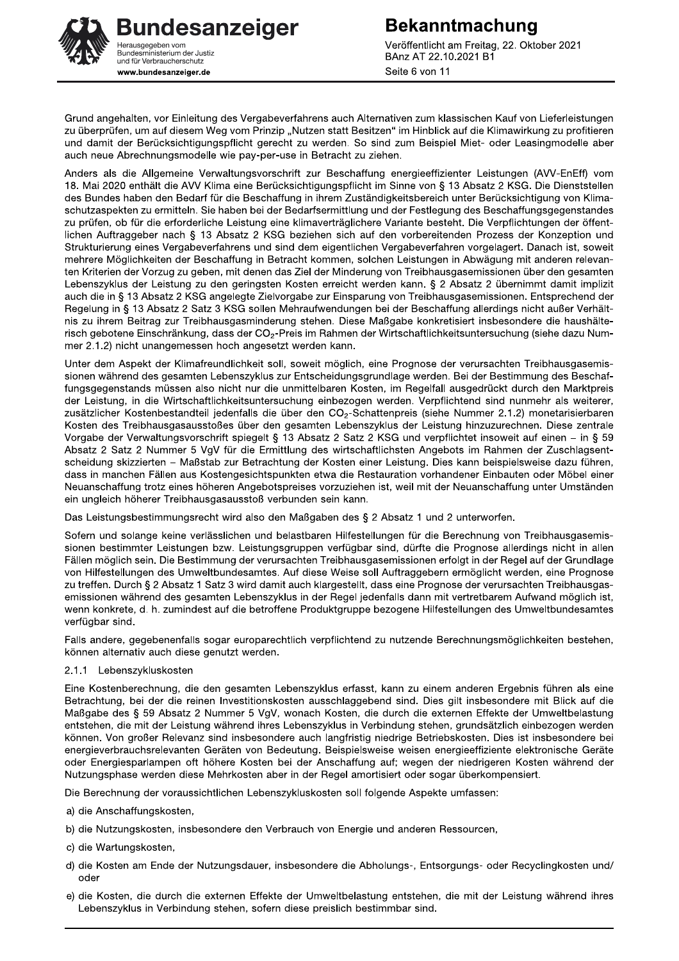**Bundesanzeiger** lerausgegeben vom Sundesministerium der Justiz<br>Bundesministerium der Justiz<br>und für Verbraucherschutz www.bundesanzeiger.de

Veröffentlicht am Freitag, 22. Oktober 2021 BAnz AT 22.10.2021 B1 Seite 6 von 11

Grund angehalten, vor Einleitung des Vergabeverfahrens auch Alternativen zum klassischen Kauf von Lieferleistungen zu überprüfen, um auf diesem Weg vom Prinzip "Nutzen statt Besitzen" im Hinblick auf die Klimawirkung zu profitieren und damit der Berücksichtigungspflicht gerecht zu werden. So sind zum Beispiel Miet- oder Leasingmodelle aber auch neue Abrechnungsmodelle wie pay-per-use in Betracht zu ziehen.

Anders als die Allgemeine Verwaltungsvorschrift zur Beschaffung energieeffizienter Leistungen (AVV-EnEff) vom 18. Mai 2020 enthält die AVV Klima eine Berücksichtigungspflicht im Sinne von § 13 Absatz 2 KSG. Die Dienststellen des Bundes haben den Bedarf für die Beschaffung in ihrem Zuständigkeitsbereich unter Berücksichtigung von Klimaschutzaspekten zu ermitteln. Sie haben bei der Bedarfsermittlung und der Festlegung des Beschaffungsgegenstandes zu prüfen, ob für die erforderliche Leistung eine klimaverträglichere Variante besteht. Die Verpflichtungen der öffentlichen Auftraggeber nach § 13 Absatz 2 KSG beziehen sich auf den vorbereitenden Prozess der Konzeption und Strukturierung eines Vergabeverfahrens und sind dem eigentlichen Vergabeverfahren vorgelagert. Danach ist, soweit mehrere Möglichkeiten der Beschaffung in Betracht kommen, solchen Leistungen in Abwägung mit anderen relevanten Kriterien der Vorzug zu geben, mit denen das Ziel der Minderung von Treibhausgasemissionen über den gesamten Lebenszyklus der Leistung zu den geringsten Kosten erreicht werden kann. § 2 Absatz 2 übernimmt damit implizit auch die in § 13 Absatz 2 KSG angelegte Zielvorgabe zur Einsparung von Treibhausgasemissionen. Entsprechend der Regelung in § 13 Absatz 2 Satz 3 KSG sollen Mehraufwendungen bei der Beschaffung allerdings nicht außer Verhältnis zu ihrem Beitrag zur Treibhausgasminderung stehen. Diese Maßgabe konkretisiert insbesondere die haushälterisch gebotene Einschränkung, dass der CO<sub>2</sub>-Preis im Rahmen der Wirtschaftlichkeitsuntersuchung (siehe dazu Nummer 2.1.2) nicht unangemessen hoch angesetzt werden kann.

Unter dem Aspekt der Klimafreundlichkeit soll, soweit möglich, eine Prognose der verursachten Treibhausgasemissionen während des gesamten Lebenszyklus zur Entscheidungsgrundlage werden. Bei der Bestimmung des Beschaffungsgegenstands müssen also nicht nur die unmittelbaren Kosten, im Regelfall ausgedrückt durch den Marktpreis der Leistung, in die Wirtschaftlichkeitsuntersuchung einbezogen werden. Verpflichtend sind nunmehr als weiterer, zusätzlicher Kostenbestandteil jedenfalls die über den CO<sub>2</sub>-Schattenpreis (siehe Nummer 2.1.2) monetarisierbaren Kosten des Treibhausgasausstoßes über den gesamten Lebenszyklus der Leistung hinzuzurechnen. Diese zentrale Vorgabe der Verwaltungsvorschrift spiegelt § 13 Absatz 2 Satz 2 KSG und verpflichtet insoweit auf einen – in § 59 Absatz 2 Satz 2 Nummer 5 VgV für die Ermittlung des wirtschaftlichsten Angebots im Rahmen der Zuschlagsentscheidung skizzierten - Maßstab zur Betrachtung der Kosten einer Leistung. Dies kann beispielsweise dazu führen, dass in manchen Fällen aus Kostengesichtspunkten etwa die Restauration vorhandener Einbauten oder Möbel einer Neuanschaffung trotz eines höheren Angebotspreises vorzuziehen ist, weil mit der Neuanschaffung unter Umständen ein ungleich höherer Treibhausgasausstoß verbunden sein kann.

Das Leistungsbestimmungsrecht wird also den Maßgaben des § 2 Absatz 1 und 2 unterworfen.

Sofern und solange keine verlässlichen und belastbaren Hilfestellungen für die Berechnung von Treibhausgasemissionen bestimmter Leistungen bzw. Leistungsgruppen verfügbar sind, dürfte die Prognose allerdings nicht in allen Fällen möglich sein. Die Bestimmung der verursachten Treibhausgasemissionen erfolgt in der Regel auf der Grundlage von Hilfestellungen des Umweltbundesamtes. Auf diese Weise soll Auftraggebern ermöglicht werden, eine Prognose zu treffen. Durch § 2 Absatz 1 Satz 3 wird damit auch klargestellt, dass eine Prognose der verursachten Treibhausgasemissionen während des gesamten Lebenszyklus in der Regel jedenfalls dann mit vertretbarem Aufwand möglich ist, wenn konkrete, d. h. zumindest auf die betroffene Produktgruppe bezogene Hilfestellungen des Umweltbundesamtes verfügbar sind.

Falls andere, gegebenenfalls sogar europarechtlich verpflichtend zu nutzende Berechnungsmöglichkeiten bestehen, können alternativ auch diese genutzt werden.

#### 2.1.1 Lebenszykluskosten

Eine Kostenberechnung, die den gesamten Lebenszyklus erfasst, kann zu einem anderen Ergebnis führen als eine Betrachtung, bei der die reinen Investitionskosten ausschlaggebend sind. Dies gilt insbesondere mit Blick auf die Maßgabe des § 59 Absatz 2 Nummer 5 VgV, wonach Kosten, die durch die externen Effekte der Umweltbelastung entstehen, die mit der Leistung während ihres Lebenszyklus in Verbindung stehen, grundsätzlich einbezogen werden können. Von großer Relevanz sind insbesondere auch langfristig niedrige Betriebskosten. Dies ist insbesondere bei energieverbrauchsrelevanten Geräten von Bedeutung. Beispielsweise weisen energieeffiziente elektronische Geräte oder Energiesparlampen oft höhere Kosten bei der Anschaffung auf; wegen der niedrigeren Kosten während der Nutzungsphase werden diese Mehrkosten aber in der Regel amortisiert oder sogar überkompensiert.

Die Berechnung der voraussichtlichen Lebenszykluskosten soll folgende Aspekte umfassen:

a) die Anschaffungskosten.

- b) die Nutzungskosten, insbesondere den Verbrauch von Energie und anderen Ressourcen,
- c) die Wartungskosten,
- d) die Kosten am Ende der Nutzungsdauer, insbesondere die Abholungs-, Entsorgungs- oder Recyclingkosten und/ oder
- e) die Kosten, die durch die externen Effekte der Umweltbelastung entstehen, die mit der Leistung während ihres Lebenszyklus in Verbindung stehen, sofern diese preislich bestimmbar sind.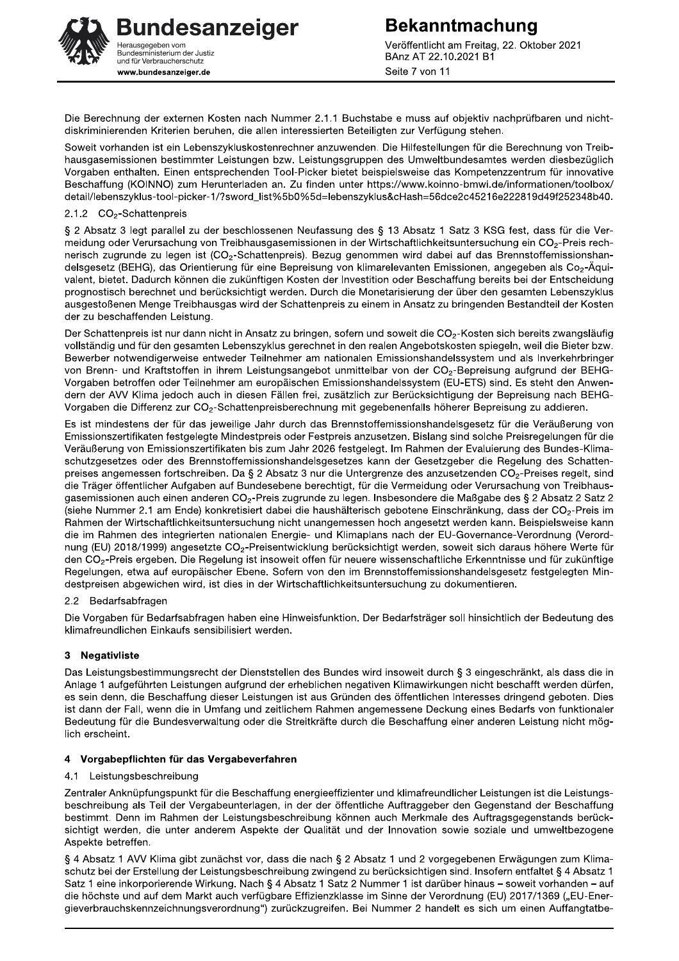**Bekanntmachung** Veröffentlicht am Freitag, 22. Oktober 2021 BAnz AT 22.10.2021 B1 Seite 7 von 11

Die Berechnung der externen Kosten nach Nummer 2.1.1 Buchstabe e muss auf objektiv nachprüfbaren und nichtdiskriminierenden Kriterien beruhen, die allen interessierten Beteiligten zur Verfügung stehen.

Soweit vorhanden ist ein Lebenszykluskostenrechner anzuwenden. Die Hilfestellungen für die Berechnung von Treibhausgasemissionen bestimmter Leistungen bzw. Leistungsgruppen des Umweltbundesamtes werden diesbezüglich Vorgaben enthalten. Einen entsprechenden Tool-Picker bietet beispielsweise das Kompetenzzentrum für innovative Beschaffung (KOINNO) zum Herunterladen an. Zu finden unter https://www.koinno-bmwi.de/informationen/toolbox/ detail/lebenszyklus-tool-picker-1/?sword\_list%5b0%5d=lebenszyklus&cHash=56dce2c45216e222819d49f252348b40.

#### 2.1.2 CO<sub>2</sub>-Schattenpreis

§ 2 Absatz 3 legt parallel zu der beschlossenen Neufassung des § 13 Absatz 1 Satz 3 KSG fest, dass für die Vermeidung oder Verursachung von Treibhausgasemissionen in der Wirtschaftlichkeitsuntersuchung ein CO<sub>2</sub>-Preis rechnerisch zugrunde zu legen ist (CO<sub>2</sub>-Schattenpreis). Bezug genommen wird dabei auf das Brennstoffemissionshandelsgesetz (BEHG), das Orientierung für eine Bepreisung von klimarelevanten Emissionen, angegeben als Co2-Äquivalent, bietet. Dadurch können die zukünftigen Kosten der Investition oder Beschaffung bereits bei der Entscheidung prognostisch berechnet und berücksichtigt werden. Durch die Monetarisierung der über den gesamten Lebenszyklus ausgestoßenen Menge Treibhausgas wird der Schattenpreis zu einem in Ansatz zu bringenden Bestandteil der Kosten der zu beschaffenden Leistung.

Der Schattenpreis ist nur dann nicht in Ansatz zu bringen, sofern und soweit die CO<sub>2</sub>-Kosten sich bereits zwangsläufig vollständig und für den gesamten Lebenszyklus gerechnet in den realen Angebotskosten spiegeln, weil die Bieter bzw. Bewerber notwendigerweise entweder Teilnehmer am nationalen Emissionshandelssystem und als Inverkehrbringer von Brenn- und Kraftstoffen in ihrem Leistungsangebot unmittelbar von der CO<sub>2</sub>-Bepreisung aufgrund der BEHG-Vorgaben betroffen oder Teilnehmer am europäischen Emissionshandelssystem (EU-ETS) sind. Es steht den Anwendern der AVV Klima jedoch auch in diesen Fällen frei, zusätzlich zur Berücksichtigung der Bepreisung nach BEHG-Vorgaben die Differenz zur CO<sub>2</sub>-Schattenpreisberechnung mit gegebenenfalls höherer Bepreisung zu addieren.

Es ist mindestens der für das jeweilige Jahr durch das Brennstoffemissionshandelsgesetz für die Veräußerung von Emissionszertifikaten festgelegte Mindestpreis oder Festpreis anzusetzen. Bislang sind solche Preisregelungen für die Veräußerung von Emissionszertifikaten bis zum Jahr 2026 festgelegt. Im Rahmen der Evaluierung des Bundes-Klimaschutzgesetzes oder des Brennstoffemissionshandelsgesetzes kann der Gesetzgeber die Regelung des Schattenpreises angemessen fortschreiben. Da § 2 Absatz 3 nur die Untergrenze des anzusetzenden CO<sub>2</sub>-Preises regelt, sind die Träger öffentlicher Aufgaben auf Bundesebene berechtigt, für die Vermeidung oder Verursachung von Treibhausgasemissionen auch einen anderen CO<sub>2</sub>-Preis zugrunde zu legen. Insbesondere die Maßgabe des § 2 Absatz 2 Satz 2 (siehe Nummer 2.1 am Ende) konkretisiert dabei die haushälterisch gebotene Einschränkung, dass der CO<sub>2</sub>-Preis im Rahmen der Wirtschaftlichkeitsuntersuchung nicht unangemessen hoch angesetzt werden kann. Beispielsweise kann die im Rahmen des integrierten nationalen Energie- und Klimaplans nach der EU-Governance-Verordnung (Verordnung (EU) 2018/1999) angesetzte CO<sub>2</sub>-Preisentwicklung berücksichtigt werden, soweit sich daraus höhere Werte für den CO<sub>2</sub>-Preis ergeben. Die Regelung ist insoweit offen für neuere wissenschaftliche Erkenntnisse und für zukünftige Regelungen, etwa auf europäischer Ebene. Sofern von den im Brennstoffemissionshandelsgesetz festgelegten Mindestpreisen abgewichen wird, ist dies in der Wirtschaftlichkeitsuntersuchung zu dokumentieren.

#### 2.2 Bedarfsabfragen

Die Vorgaben für Bedarfsabfragen haben eine Hinweisfunktion. Der Bedarfsträger soll hinsichtlich der Bedeutung des klimafreundlichen Einkaufs sensibilisiert werden.

#### 3 Negativliste

Das Leistungsbestimmungsrecht der Dienststellen des Bundes wird insoweit durch § 3 eingeschränkt, als dass die in Anlage 1 aufgeführten Leistungen aufgrund der erheblichen negativen Klimawirkungen nicht beschafft werden dürfen, es sein denn, die Beschaffung dieser Leistungen ist aus Gründen des öffentlichen Interesses dringend geboten. Dies ist dann der Fall, wenn die in Umfang und zeitlichem Rahmen angemessene Deckung eines Bedarfs von funktionaler Bedeutung für die Bundesverwaltung oder die Streitkräfte durch die Beschaffung einer anderen Leistung nicht möglich erscheint.

#### 4 Vorgabepflichten für das Vergabeverfahren

#### 4.1 Leistungsbeschreibung

Zentraler Anknüpfungspunkt für die Beschaffung energieeffizienter und klimafreundlicher Leistungen ist die Leistungsbeschreibung als Teil der Vergabeunterlagen, in der der öffentliche Auftraggeber den Gegenstand der Beschaffung bestimmt. Denn im Rahmen der Leistungsbeschreibung können auch Merkmale des Auftragsgegenstands berücksichtigt werden, die unter anderem Aspekte der Qualität und der Innovation sowie soziale und umweltbezogene Aspekte betreffen.

§ 4 Absatz 1 AVV Klima gibt zunächst vor, dass die nach § 2 Absatz 1 und 2 vorgegebenen Erwägungen zum Klimaschutz bei der Erstellung der Leistungsbeschreibung zwingend zu berücksichtigen sind. Insofern entfaltet § 4 Absatz 1 Satz 1 eine inkorporierende Wirkung. Nach § 4 Absatz 1 Satz 2 Nummer 1 ist darüber hinaus – soweit vorhanden – auf die höchste und auf dem Markt auch verfügbare Effizienzklasse im Sinne der Verordnung (EU) 2017/1369 ("EU-Energieverbrauchskennzeichnungsverordnung") zurückzugreifen. Bei Nummer 2 handelt es sich um einen Auffangtatbe-

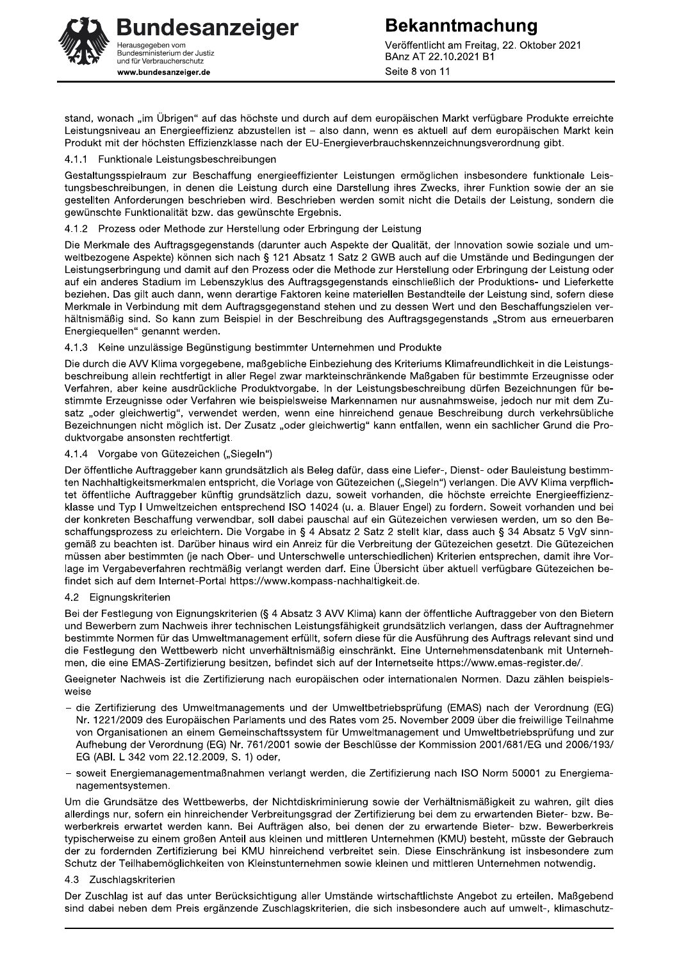**Bekanntmachung** Veröffentlicht am Freitag, 22. Oktober 2021 BAnz AT 22.10.2021 B1 Seite 8 von 11

stand, wonach "im Übrigen" auf das höchste und durch auf dem europäischen Markt verfügbare Produkte erreichte Leistungsniveau an Energieeffizienz abzustellen ist - also dann, wenn es aktuell auf dem europäischen Markt kein Produkt mit der höchsten Effizienzklasse nach der EU-Energieverbrauchskennzeichnungsverordnung gibt.

#### 4.1.1 Funktionale Leistungsbeschreibungen

Gestaltungsspielraum zur Beschaffung energieeffizienter Leistungen ermöglichen insbesondere funktionale Leistungsbeschreibungen, in denen die Leistung durch eine Darstellung ihres Zwecks, ihrer Funktion sowie der an sie gestellten Anforderungen beschrieben wird. Beschrieben werden somit nicht die Details der Leistung, sondern die gewünschte Funktionalität bzw. das gewünschte Ergebnis.

#### 4.1.2 Prozess oder Methode zur Herstellung oder Erbringung der Leistung

Die Merkmale des Auftragsgegenstands (darunter auch Aspekte der Qualität, der Innovation sowie soziale und umweltbezogene Aspekte) können sich nach § 121 Absatz 1 Satz 2 GWB auch auf die Umstände und Bedingungen der Leistungserbringung und damit auf den Prozess oder die Methode zur Herstellung oder Erbringung der Leistung oder auf ein anderes Stadium im Lebenszyklus des Auftragsgegenstands einschließlich der Produktions- und Lieferkette beziehen. Das gilt auch dann, wenn derartige Faktoren keine materiellen Bestandteile der Leistung sind, sofern diese Merkmale in Verbindung mit dem Auftragsgegenstand stehen und zu dessen Wert und den Beschaffungszielen verhältnismäßig sind. So kann zum Beispiel in der Beschreibung des Auftragsgegenstands "Strom aus erneuerbaren Energiequellen" genannt werden.

#### 4.1.3 Keine unzulässige Begünstigung bestimmter Unternehmen und Produkte

Die durch die AVV Klima vorgegebene, maßgebliche Einbeziehung des Kriteriums Klimafreundlichkeit in die Leistungsbeschreibung allein rechtfertigt in aller Regel zwar markteinschränkende Maßgaben für bestimmte Erzeugnisse oder Verfahren, aber keine ausdrückliche Produktvorgabe. In der Leistungsbeschreibung dürfen Bezeichnungen für bestimmte Erzeugnisse oder Verfahren wie beispielsweise Markennamen nur ausnahmsweise, jedoch nur mit dem Zusatz "oder gleichwertig", verwendet werden, wenn eine hinreichend genaue Beschreibung durch verkehrsübliche Bezeichnungen nicht möglich ist. Der Zusatz "oder gleichwertig" kann entfallen, wenn ein sachlicher Grund die Produktvorgabe ansonsten rechtfertigt.

#### 4.1.4 Vorgabe von Gütezeichen ("Siegeln")

Der öffentliche Auftraggeber kann grundsätzlich als Beleg dafür, dass eine Liefer-, Dienst- oder Bauleistung bestimmten Nachhaltigkeitsmerkmalen entspricht, die Vorlage von Gütezeichen ("Siegeln") verlangen. Die AVV Klima verpflichtet öffentliche Auftraggeber künftig grundsätzlich dazu, soweit vorhanden, die höchste erreichte Energieeffizienzklasse und Typ I Umweltzeichen entsprechend ISO 14024 (u. a. Blauer Engel) zu fordern. Soweit vorhanden und bei der konkreten Beschaffung verwendbar, soll dabei pauschal auf ein Gütezeichen verwiesen werden, um so den Beschaffungsprozess zu erleichtern. Die Vorgabe in § 4 Absatz 2 Satz 2 stellt klar, dass auch § 34 Absatz 5 VgV sinngemäß zu beachten ist. Darüber hinaus wird ein Anreiz für die Verbreitung der Gütezeichen gesetzt. Die Gütezeichen müssen aber bestimmten (je nach Ober- und Unterschwelle unterschiedlichen) Kriterien entsprechen, damit ihre Vorlage im Vergabeverfahren rechtmäßig verlangt werden darf. Eine Übersicht über aktuell verfügbare Gütezeichen befindet sich auf dem Internet-Portal https://www.kompass-nachhaltigkeit.de.

#### 4.2 Eignungskriterien

Bei der Festlegung von Eignungskriterien (§ 4 Absatz 3 AVV Klima) kann der öffentliche Auftraggeber von den Bietern und Bewerbern zum Nachweis ihrer technischen Leistungsfähigkeit grundsätzlich verlangen, dass der Auftragnehmer bestimmte Normen für das Umweltmanagement erfüllt, sofern diese für die Ausführung des Auftrags relevant sind und die Festlegung den Wettbewerb nicht unverhältnismäßig einschränkt. Eine Unternehmensdatenbank mit Unternehmen, die eine EMAS-Zertifizierung besitzen, befindet sich auf der Internetseite https://www.emas-register.de/.

Geeigneter Nachweis ist die Zertifizierung nach europäischen oder internationalen Normen. Dazu zählen beispielsweise

- die Zertifizierung des Umweltmanagements und der Umweltbetriebsprüfung (EMAS) nach der Verordnung (EG) Nr. 1221/2009 des Europäischen Parlaments und des Rates vom 25. November 2009 über die freiwillige Teilnahme von Organisationen an einem Gemeinschaftssystem für Umweltmanagement und Umweltbetriebsprüfung und zur Aufhebung der Verordnung (EG) Nr. 761/2001 sowie der Beschlüsse der Kommission 2001/681/EG und 2006/193/ EG (ABI. L 342 vom 22.12.2009, S. 1) oder,
- soweit Energiemanagementmaßnahmen verlangt werden, die Zertifizierung nach ISO Norm 50001 zu Energiemanagementsystemen.

Um die Grundsätze des Wettbewerbs, der Nichtdiskriminierung sowie der Verhältnismäßigkeit zu wahren, gilt dies allerdings nur, sofern ein hinreichender Verbreitungsgrad der Zertifizierung bei dem zu erwartenden Bieter- bzw. Bewerberkreis erwartet werden kann. Bei Aufträgen also, bei denen der zu erwartende Bieter- bzw. Bewerberkreis typischerweise zu einem großen Anteil aus kleinen und mittleren Unternehmen (KMU) besteht, müsste der Gebrauch der zu fordernden Zertifizierung bei KMU hinreichend verbreitet sein. Diese Einschränkung ist insbesondere zum Schutz der Teilhabemöglichkeiten von Kleinstunternehmen sowie kleinen und mittleren Unternehmen notwendig.

#### 4.3 Zuschlagskriterien

Der Zuschlag ist auf das unter Berücksichtigung aller Umstände wirtschaftlichste Angebot zu erteilen. Maßgebend sind dabei neben dem Preis ergänzende Zuschlagskriterien, die sich insbesondere auch auf umwelt-, klimaschutz-

## **Bundesanzeiger** lerausgegeben vom Sundesministerium der Justiz<br>Bundesministerium der Justiz<br>und für Verbraucherschutz www.bundesanzeiger.de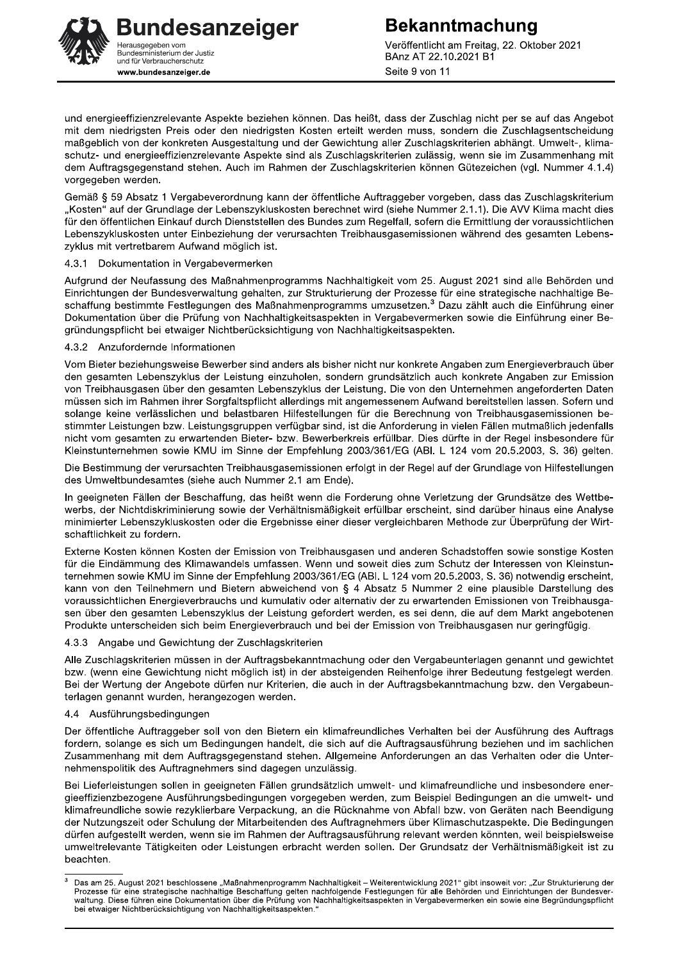Veröffentlicht am Freitag, 22. Oktober 2021 BAnz AT 22.10.2021 B1 Seite 9 von 11

und energieeffizienzrelevante Aspekte beziehen können. Das heißt, dass der Zuschlag nicht per se auf das Angebot mit dem niedrigsten Preis oder den niedrigsten Kosten erteilt werden muss, sondern die Zuschlagsentscheidung maßgeblich von der konkreten Ausgestaltung und der Gewichtung aller Zuschlagskriterien abhängt. Umwelt-, klimaschutz- und energieeffizienzrelevante Aspekte sind als Zuschlagskriterien zulässig, wenn sie im Zusammenhang mit dem Auftragsgegenstand stehen. Auch im Rahmen der Zuschlagskriterien können Gütezeichen (vgl. Nummer 4.1.4) vorgegeben werden.

Gemäß § 59 Absatz 1 Vergabeverordnung kann der öffentliche Auftraggeber vorgeben, dass das Zuschlagskriterium "Kosten" auf der Grundlage der Lebenszykluskosten berechnet wird (siehe Nummer 2.1.1). Die AVV Klima macht dies für den öffentlichen Einkauf durch Dienststellen des Bundes zum Regelfall, sofern die Ermittlung der voraussichtlichen Lebenszykluskosten unter Einbeziehung der verursachten Treibhausgasemissionen während des gesamten Lebenszyklus mit vertretbarem Aufwand möglich ist.

#### 4.3.1 Dokumentation in Vergabevermerken

Aufgrund der Neufassung des Maßnahmenprogramms Nachhaltigkeit vom 25. August 2021 sind alle Behörden und Einrichtungen der Bundesverwaltung gehalten, zur Strukturierung der Prozesse für eine strategische nachhaltige Beschaffung bestimmte Festlegungen des Maßnahmenprogramms umzusetzen.<sup>3</sup> Dazu zählt auch die Einführung einer Dokumentation über die Prüfung von Nachhaltigkeitsaspekten in Vergabevermerken sowie die Einführung einer Begründungspflicht bei etwaiger Nichtberücksichtigung von Nachhaltigkeitsaspekten.

#### 4.3.2 Anzufordernde Informationen

Vom Bieter beziehungsweise Bewerber sind anders als bisher nicht nur konkrete Angaben zum Energieverbrauch über den gesamten Lebenszyklus der Leistung einzuholen, sondern grundsätzlich auch konkrete Angaben zur Emission von Treibhausgasen über den gesamten Lebenszyklus der Leistung. Die von den Unternehmen angeforderten Daten müssen sich im Rahmen ihrer Sorgfaltspflicht allerdings mit angemessenem Aufwand bereitstellen lassen. Sofern und solange keine verlässlichen und belastbaren Hilfestellungen für die Berechnung von Treibhausgasemissionen bestimmter Leistungen bzw. Leistungsgruppen verfügbar sind, ist die Anforderung in vielen Fällen mutmaßlich jedenfalls nicht vom gesamten zu erwartenden Bieter- bzw. Bewerberkreis erfüllbar. Dies dürfte in der Regel insbesondere für Kleinstunternehmen sowie KMU im Sinne der Empfehlung 2003/361/EG (ABI. L 124 vom 20.5.2003, S. 36) gelten.

Die Bestimmung der verursachten Treibhausgasemissionen erfolgt in der Regel auf der Grundlage von Hilfestellungen des Umweltbundesamtes (siehe auch Nummer 2.1 am Ende).

In geeigneten Fällen der Beschaffung, das heißt wenn die Forderung ohne Verletzung der Grundsätze des Wettbewerbs, der Nichtdiskriminierung sowie der Verhältnismäßigkeit erfüllbar erscheint, sind darüber hinaus eine Analyse minimierter Lebenszykluskosten oder die Ergebnisse einer dieser vergleichbaren Methode zur Überprüfung der Wirtschaftlichkeit zu fordern.

Externe Kosten können Kosten der Emission von Treibhausgasen und anderen Schadstoffen sowie sonstige Kosten für die Eindämmung des Klimawandels umfassen. Wenn und soweit dies zum Schutz der Interessen von Kleinstunternehmen sowie KMU im Sinne der Empfehlung 2003/361/EG (ABI. L 124 vom 20.5.2003, S. 36) notwendig erscheint, kann von den Teilnehmern und Bietern abweichend von § 4 Absatz 5 Nummer 2 eine plausible Darstellung des voraussichtlichen Energieverbrauchs und kumulativ oder alternativ der zu erwartenden Emissionen von Treibhausgasen über den gesamten Lebenszyklus der Leistung gefordert werden, es sei denn, die auf dem Markt angebotenen Produkte unterscheiden sich beim Energieverbrauch und bei der Emission von Treibhausgasen nur geringfügig.

#### 4.3.3 Angabe und Gewichtung der Zuschlagskriterien

Alle Zuschlagskriterien müssen in der Auftragsbekanntmachung oder den Vergabeunterlagen genannt und gewichtet bzw. (wenn eine Gewichtung nicht möglich ist) in der absteigenden Reihenfolge ihrer Bedeutung festgelegt werden. Bei der Wertung der Angebote dürfen nur Kriterien, die auch in der Auftragsbekanntmachung bzw. den Vergabeunterlagen genannt wurden, herangezogen werden.

#### 4.4 Ausführungsbedingungen

Der öffentliche Auftraggeber soll von den Bietern ein klimafreundliches Verhalten bei der Ausführung des Auftrags fordern, solange es sich um Bedingungen handelt, die sich auf die Auftragsausführung beziehen und im sachlichen Zusammenhang mit dem Auftragsgegenstand stehen. Allgemeine Anforderungen an das Verhalten oder die Unternehmenspolitik des Auftragnehmers sind dagegen unzulässig.

Bei Lieferleistungen sollen in geeigneten Fällen grundsätzlich umwelt- und klimafreundliche und insbesondere energieeffizienzbezogene Ausführungsbedingungen vorgegeben werden, zum Beispiel Bedingungen an die umwelt- und klimafreundliche sowie rezyklierbare Verpackung, an die Rücknahme von Abfall bzw. von Geräten nach Beendigung der Nutzungszeit oder Schulung der Mitarbeitenden des Auftragnehmers über Klimaschutzaspekte. Die Bedingungen dürfen aufgestellt werden, wenn sie im Rahmen der Auftragsausführung relevant werden könnten, weil beispielsweise umweltrelevante Tätigkeiten oder Leistungen erbracht werden sollen. Der Grundsatz der Verhältnismäßigkeit ist zu beachten.

 $\overline{3}$ Das am 25. August 2021 beschlossene "Maßnahmenprogramm Nachhaltigkeit - Weiterentwicklung 2021" gibt insoweit vor: "Zur Strukturierung der Prozesse für eine strategische nachhaltige Beschaffung gelten nachfolgende Festlegungen für alle Behörden und Einrichtungen der Bundesver-<br>waltung. Diese führen eine Dokumentation über die Prüfung von Nachhaltigkeitsaspekt bei etwaiger Nichtberücksichtigung von Nachhaltigkeitsaspekten."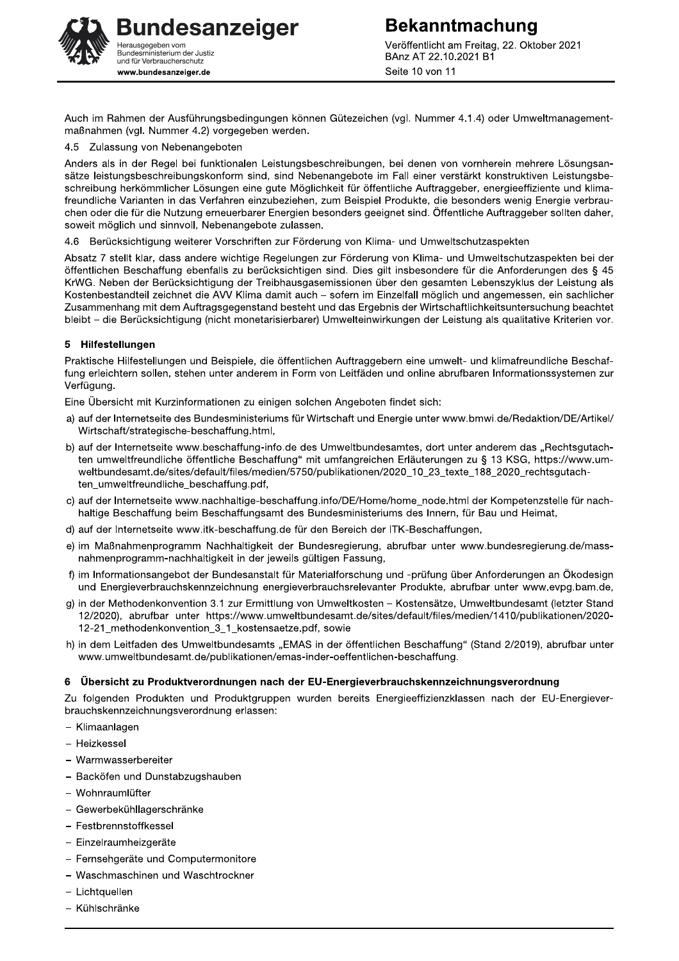**Bekanntmachung** Veröffentlicht am Freitag, 22. Oktober 2021 BAnz AT 22.10.2021 B1 Seite 10 von 11

Auch im Rahmen der Ausführungsbedingungen können Gütezeichen (vgl. Nummer 4.1.4) oder Umweltmanagementmaßnahmen (vgl. Nummer 4.2) vorgegeben werden.

4.5 Zulassung von Nebenangeboten

Anders als in der Regel bei funktionalen Leistungsbeschreibungen, bei denen von vornherein mehrere Lösungsansätze leistungsbeschreibungskonform sind, sind Nebenangebote im Fall einer verstärkt konstruktiven Leistungsbeschreibung herkömmlicher Lösungen eine gute Möglichkeit für öffentliche Auftraggeber, energieeffiziente und klimafreundliche Varianten in das Verfahren einzubeziehen, zum Beispiel Produkte, die besonders wenig Energie verbrauchen oder die für die Nutzung erneuerbarer Energien besonders geeignet sind. Öffentliche Auftraggeber sollten daher, soweit möglich und sinnvoll, Nebenangebote zulassen.

4.6 Berücksichtigung weiterer Vorschriften zur Förderung von Klima- und Umweltschutzaspekten

Absatz 7 stellt klar, dass andere wichtige Regelungen zur Förderung von Klima- und Umweltschutzaspekten bei der öffentlichen Beschaffung ebenfalls zu berücksichtigen sind. Dies gilt insbesondere für die Anforderungen des § 45 KrWG. Neben der Berücksichtigung der Treibhausgasemissionen über den gesamten Lebenszyklus der Leistung als Kostenbestandteil zeichnet die AVV Klima damit auch - sofern im Einzelfall möglich und angemessen, ein sachlicher Zusammenhang mit dem Auftragsgegenstand besteht und das Ergebnis der Wirtschaftlichkeitsuntersuchung beachtet bleibt – die Berücksichtigung (nicht monetarisierbarer) Umwelteinwirkungen der Leistung als qualitative Kriterien vor.

#### 5 Hilfestellungen

Praktische Hilfestellungen und Beispiele, die öffentlichen Auftraggebern eine umwelt- und klimafreundliche Beschaffung erleichtern sollen, stehen unter anderem in Form von Leitfäden und online abrufbaren Informationssystemen zur Verfügung.

Eine Übersicht mit Kurzinformationen zu einigen solchen Angeboten findet sich:

- a) auf der Internetseite des Bundesministeriums für Wirtschaft und Energie unter www.bmwi.de/Redaktion/DE/Artikel/ Wirtschaft/strategische-beschaffung.html,
- b) auf der Internetseite www.beschaffung-info.de des Umweltbundesamtes, dort unter anderem das "Rechtsgutachten umweltfreundliche öffentliche Beschaffung" mit umfangreichen Erläuterungen zu § 13 KSG, https://www.umweltbundesamt.de/sites/default/files/medien/5750/publikationen/2020\_10\_23\_texte\_188\_2020\_rechtsgutachten umweltfreundliche beschaffung.pdf,
- c) auf der Internetseite www.nachhaltige-beschaffung.info/DE/Home/home node.html der Kompetenzstelle für nachhaltige Beschaffung beim Beschaffungsamt des Bundesministeriums des Innern, für Bau und Heimat,
- d) auf der Internetseite www.itk-beschaffung.de für den Bereich der ITK-Beschaffungen,
- e) im Maßnahmenprogramm Nachhaltigkeit der Bundesregierung, abrufbar unter www.bundesregierung.de/massnahmenprogramm-nachhaltigkeit in der jeweils gültigen Fassung,
- f) im Informationsangebot der Bundesanstalt für Materialforschung und -prüfung über Anforderungen an Ökodesign und Energieverbrauchskennzeichnung energieverbrauchsrelevanter Produkte, abrufbar unter www.evpg.bam.de,
- g) in der Methodenkonvention 3.1 zur Ermittlung von Umweltkosten Kostensätze, Umweltbundesamt (letzter Stand 12/2020), abrufbar unter https://www.umweltbundesamt.de/sites/default/files/medien/1410/publikationen/2020-12-21\_methodenkonvention\_3\_1\_kostensaetze.pdf, sowie
- h) in dem Leitfaden des Umweltbundesamts "EMAS in der öffentlichen Beschaffung" (Stand 2/2019), abrufbar unter www.umweltbundesamt.de/publikationen/emas-inder-oeffentlichen-beschaffung.

#### 6 Übersicht zu Produktverordnungen nach der EU-Energieverbrauchskennzeichnungsverordnung

Zu folgenden Produkten und Produktgruppen wurden bereits Energieeffizienzklassen nach der EU-Energieverbrauchskennzeichnungsverordnung erlassen:

- Klimaanlagen
- Heizkessel
- Warmwasserbereiter
- Backöfen und Dunstabzugshauben
- Wohnraumlüfter
- Gewerbekühllagerschränke
- Festbrennstoffkessel
- Einzelraumheizgeräte
- Fernsehgeräte und Computermonitore
- Waschmaschinen und Waschtrockner
- Lichtquellen
- Kühlschränke